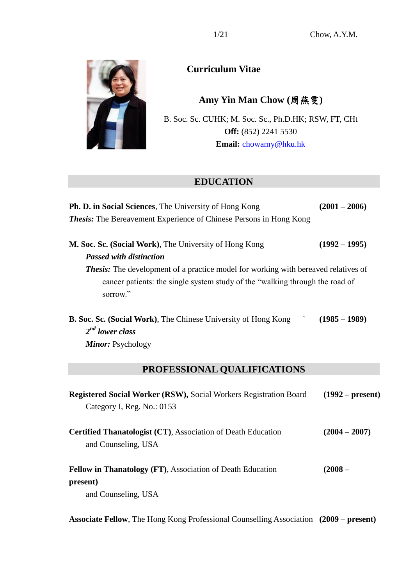

**Curriculum Vitae**

**Amy Yin Man Chow (**周燕雯**)**

B. Soc. Sc. CUHK; M. Soc. Sc., Ph.D.HK; RSW, FT, CHt **Off:** (852) 2241 5530 **Email:** [chowamy@hku.hk](mailto:chowamy@hku.hk)

# **EDUCATION**

| <b>Ph. D. in Social Sciences</b> , The University of Hong Kong                                                                                                                        | $(2001 - 2006)$    |
|---------------------------------------------------------------------------------------------------------------------------------------------------------------------------------------|--------------------|
| <b>Thesis:</b> The Bereavement Experience of Chinese Persons in Hong Kong                                                                                                             |                    |
| M. Soc. Sc. (Social Work), The University of Hong Kong                                                                                                                                | $(1992 - 1995)$    |
| <b>Passed with distinction</b>                                                                                                                                                        |                    |
| <b>Thesis:</b> The development of a practice model for working with bereaved relatives of<br>cancer patients: the single system study of the "walking through the road of<br>sorrow." |                    |
| <b>B. Soc. Sc. (Social Work)</b> , The Chinese University of Hong Kong<br>$2^{nd}$ lower class<br>Minor: Psychology                                                                   | $(1985 - 1989)$    |
| PROFESSIONAL QUALIFICATIONS                                                                                                                                                           |                    |
| <b>Registered Social Worker (RSW), Social Workers Registration Board</b><br>Category I, Reg. No.: 0153                                                                                | $(1992 - present)$ |
| <b>Certified Thanatologist (CT), Association of Death Education</b><br>and Counseling, USA                                                                                            | $(2004 - 2007)$    |
| Fellow in Thanatology (FT), Association of Death Education                                                                                                                            | $(2008 -$          |
| present)<br>and Counseling, USA                                                                                                                                                       |                    |
|                                                                                                                                                                                       |                    |

**Associate Fellow**, The Hong Kong Professional Counselling Association **(2009 – present)**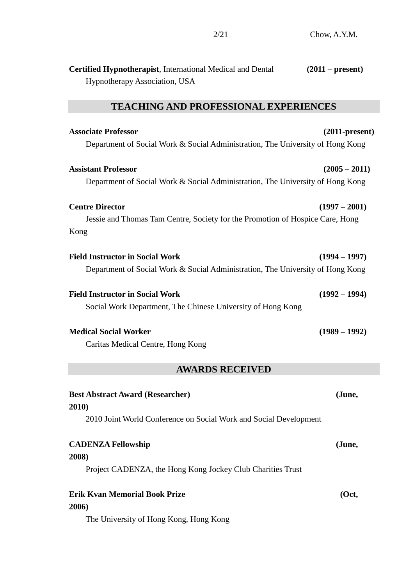| <b>Certified Hypnotherapist, International Medical and Dental</b> | $(2011 - present)$ |
|-------------------------------------------------------------------|--------------------|
| <b>Hypnotherapy Association, USA</b>                              |                    |

# **TEACHING AND PROFESSIONAL EXPERIENCES**

| <b>Associate Professor</b>                                                     | $(2011-present)$ |
|--------------------------------------------------------------------------------|------------------|
| Department of Social Work & Social Administration, The University of Hong Kong |                  |
| <b>Assistant Professor</b>                                                     | $(2005 - 2011)$  |
| Department of Social Work & Social Administration, The University of Hong Kong |                  |
| <b>Centre Director</b>                                                         | $(1997 - 2001)$  |
| Jessie and Thomas Tam Centre, Society for the Promotion of Hospice Care, Hong  |                  |
| Kong                                                                           |                  |
| <b>Field Instructor in Social Work</b>                                         | $(1994 - 1997)$  |
| Department of Social Work & Social Administration, The University of Hong Kong |                  |
| <b>Field Instructor in Social Work</b>                                         | $(1992 - 1994)$  |
| Social Work Department, The Chinese University of Hong Kong                    |                  |
| <b>Medical Social Worker</b>                                                   | $(1989 - 1992)$  |
| Caritas Medical Centre, Hong Kong                                              |                  |

# **AWARDS RECEIVED**

| <b>Best Abstract Award (Researcher)</b>                                      |        |
|------------------------------------------------------------------------------|--------|
| 2010)                                                                        |        |
| 2010 Joint World Conference on Social Work and Social Development            |        |
| <b>CADENZA Fellowship</b>                                                    | (June, |
|                                                                              |        |
| 2008)                                                                        |        |
| Project CADENZA, the Hong Kong Jockey Club Charities Trust                   |        |
| Erik Kvan Memorial Book Prize                                                | (Oct.  |
| 2006)                                                                        |        |
| $\cdots$ $\cdots$ $\cdots$ $\cdots$ $\cdots$ $\cdots$ $\cdots$<br><u>гтч</u> |        |

The University of Hong Kong, Hong Kong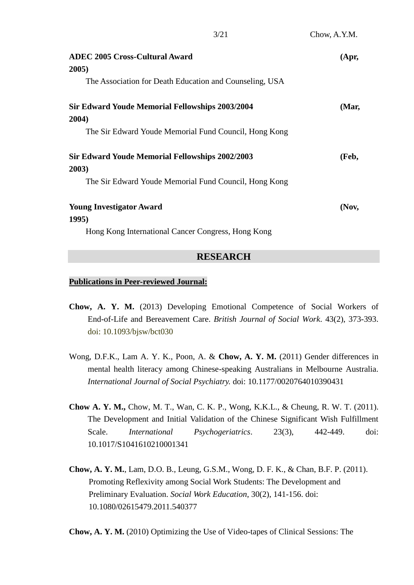| <b>ADEC 2005 Cross-Cultural Award</b><br>2005)          | (Apr,    |
|---------------------------------------------------------|----------|
| The Association for Death Education and Counseling, USA |          |
| <b>Sir Edward Youde Memorial Fellowships 2003/2004</b>  | (Mar,    |
| 2004)                                                   |          |
| The Sir Edward Youde Memorial Fund Council, Hong Kong   |          |
| <b>Sir Edward Youde Memorial Fellowships 2002/2003</b>  | (Feb,    |
| 2003)                                                   |          |
| The Sir Edward Youde Memorial Fund Council, Hong Kong   |          |
| <b>Young Investigator Award</b>                         | $($ Nov, |
| <b>1995</b> )                                           |          |
| Hong Kong International Cancer Congress, Hong Kong      |          |

## **RESEARCH**

#### **Publications in Peer-reviewed Journal:**

- **Chow, A. Y. M.** (2013) Developing Emotional Competence of Social Workers of End-of-Life and Bereavement Care. *British Journal of Social Work*. 43(2), 373-393. doi: 10.1093/bjsw/bct030
- Wong, D.F.K., Lam A. Y. K., Poon, A. & **Chow, A. Y. M.** (2011) Gender differences in mental health literacy among Chinese-speaking Australians in Melbourne Australia. *International Journal of Social Psychiatry.* doi: 10.1177/0020764010390431
- **Chow A. Y. M.,** Chow, M. T., Wan, C. K. P., Wong, K.K.L., & Cheung, R. W. T. (2011). The Development and Initial Validation of the Chinese Significant Wish Fulfillment Scale. *International Psychogeriatrics*. 23(3), 442-449. doi: 10.1017/S1041610210001341
- **Chow, A. Y. M.**, Lam, D.O. B., Leung, G.S.M., Wong, D. F. K., & Chan, B.F. P. (2011). Promoting Reflexivity among Social Work Students: The Development and Preliminary Evaluation. *Social Work Education*, 30(2), 141-156. doi: 10.1080/02615479.2011.540377

**Chow, A. Y. M.** (2010) Optimizing the Use of Video-tapes of Clinical Sessions: The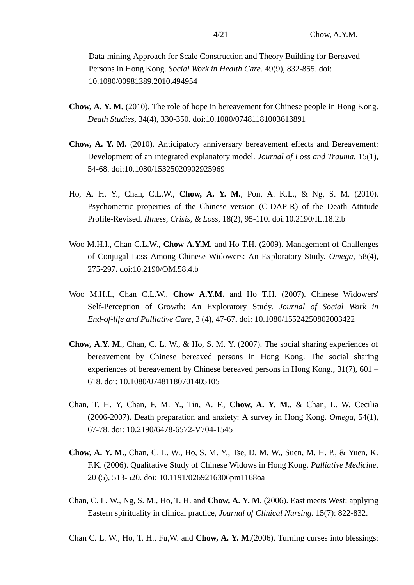Data-mining Approach for Scale Construction and Theory Building for Bereaved Persons in Hong Kong. *Social Work in Health Care.* 49(9), 832-855. doi: 10.1080/00981389.2010.494954

- **Chow, A. Y. M.** (2010). The role of hope in bereavement for Chinese people in Hong Kong. *Death Studies,* 34(4), 330-350. doi:10.1080/07481181003613891
- **Chow, A. Y. M.** (2010). Anticipatory anniversary bereavement effects and Bereavement: Development of an integrated explanatory model. *Journal of Loss and Trauma,* 15(1), 54-68. doi:10.1080/15325020902925969
- Ho, A. H. Y., Chan, C.L.W., **Chow, A. Y. M.**, Pon, A. K.L., & Ng, S. M. (2010). Psychometric properties of the Chinese version (C-DAP-R) of the Death Attitude Profile-Revised. *Illness, Crisis, & Loss,* 18(2), 95-110. doi:10.2190/IL.18.2.b
- Woo M.H.I., Chan C.L.W., **Chow A.Y.M.** and Ho T.H. (2009). Management of Challenges of Conjugal Loss Among Chinese Widowers: An Exploratory Study. *Omega,* 58(4), 275-297**.** doi:10.2190/OM.58.4.b
- Woo M.H.I., Chan C.L.W., **Chow A.Y.M.** and Ho T.H. (2007). Chinese Widowers' Self-Perception of Growth: An Exploratory Study. *Journal of Social Work in End-of-life and Palliative Care*, 3 (4), 47-67**.** doi: 10.1080/15524250802003422
- **Chow, A.Y. M.**, Chan, C. L. W., & Ho, S. M. Y. (2007). The social sharing experiences of bereavement by Chinese bereaved persons in Hong Kong. The social sharing experiences of bereavement by Chinese bereaved persons in Hong Kong., 31(7), 601 – 618. doi: 10.1080/07481180701405105
- Chan, T. H. Y, Chan, F. M. Y., Tin, A. F., **Chow, A. Y. M.**, & Chan, L. W. Cecilia (2006-2007). Death preparation and anxiety: A survey in Hong Kong. *Omega*, 54(1), 67-78. doi: 10.2190/6478-6572-V704-1545
- **Chow, A. Y. M.**, Chan, C. L. W., Ho, S. M. Y., Tse, D. M. W., Suen, M. H. P., & Yuen, K. F.K. (2006). Qualitative Study of Chinese Widows in Hong Kong. *Palliative Medicine,* 20 (5), 513-520. doi: 10.1191/0269216306pm1168oa
- Chan, C. L. W., Ng, S. M., Ho, T. H. and **Chow, A. Y. M**. (2006). East meets West: applying Eastern spirituality in clinical practice, *Journal of Clinical Nursing*. 15(7): 822-832.
- Chan C. L. W., Ho, T. H., Fu,W. and **Chow, A. Y. M**.(2006). Turning curses into blessings: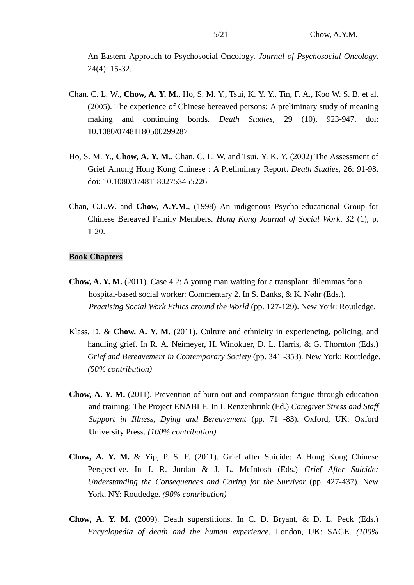An Eastern Approach to Psychosocial Oncology. *Journal of Psychosocial Oncology*. 24(4): 15-32.

- Chan. C. L. W., **Chow, A. Y. M.**, Ho, S. M. Y., Tsui, K. Y. Y., Tin, F. A., Koo W. S. B. et al. (2005). The experience of Chinese bereaved persons: A preliminary study of meaning making and continuing bonds. *Death Studies*, 29 (10), 923-947. doi: 10.1080/07481180500299287
- Ho, S. M. Y., **Chow, A. Y. M.**, Chan, C. L. W. and Tsui, Y. K. Y. (2002) The Assessment of Grief Among Hong Kong Chinese : A Preliminary Report. *Death Studies*, 26: 91-98. doi: 10.1080/074811802753455226
- Chan, C.L.W. and **Chow, A.Y.M.**, (1998) An indigenous Psycho-educational Group for Chinese Bereaved Family Members. *Hong Kong Journal of Social Work*. 32 (1), p. 1-20.

#### **Book Chapters**

- **Chow, A. Y. M.** (2011). Case 4.2: A young man waiting for a transplant: dilemmas for a hospital-based social worker: Commentary 2. In S. Banks, & K. Nøhr (Eds.). *Practising Social Work Ethics around the World* (pp. 127-129). New York: Routledge.
- Klass, D. & **Chow, A. Y. M.** (2011). Culture and ethnicity in experiencing, policing, and handling grief. In R. A. Neimeyer, H. Winokuer, D. L. Harris, & G. Thornton (Eds.) *Grief and Bereavement in Contemporary Society* (pp. 341 -353)*.* New York: Routledge. *(50% contribution)*
- **Chow, A. Y. M.** (2011). Prevention of burn out and compassion fatigue through education and training: The Project ENABLE. In I. Renzenbrink (Ed.) *Caregiver Stress and Staff Support in Illness, Dying and Bereavement* (pp. 71 -83)*.* Oxford, UK: Oxford University Press. *(100% contribution)*
- **Chow, A. Y. M.** & Yip, P. S. F. (2011). Grief after Suicide: A Hong Kong Chinese Perspective. In J. R. Jordan & J. L. McIntosh (Eds.) *Grief After Suicide: Understanding the Consequences and Caring for the Survivor* (pp. 427-437)*.* New York, NY: Routledge. *(90% contribution)*
- **Chow, A. Y. M.** (2009). Death superstitions. In C. D. Bryant, & D. L. Peck (Eds.) *Encyclopedia of death and the human experience.* London, UK: SAGE. *(100%*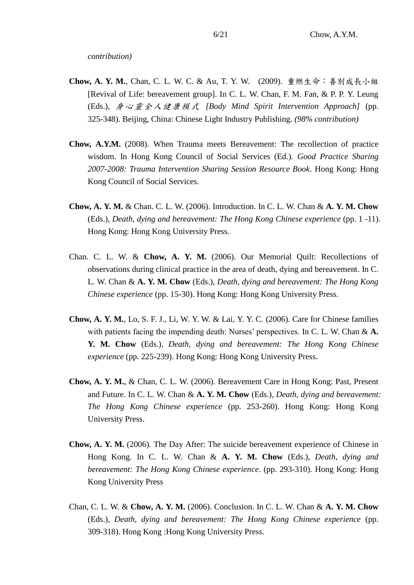*contribution)*

- **Chow, A. Y. M.**, Chan, C. L. W. C. & Au, T. Y. W. (2009). 重燃生命:善別成長小組 [Revival of Life: bereavement group]. In C. L. W. Chan, F. M. Fan, & P. P. Y. Leung (Eds.), 身心靈全人健康模式 *[Body Mind Spirit Intervention Approach]* (pp. 325-348). Beijing, China: Chinese Light Industry Publishing. *(98% contribution)*
- **Chow, A.Y.M.** (2008). When Trauma meets Bereavement: The recollection of practice wisdom. In Hong Kong Council of Social Services (Ed.). *Good Practice Sharing 2007-2008: Trauma Intervention Sharing Session Resource Book*. Hong Kong: Hong Kong Council of Social Services.
- **Chow, A. Y. M.** & Chan. C. L. W. (2006). Introduction. In C. L. W. Chan & **A. Y. M. Chow**  (Eds.), *Death, dying and bereavement: The Hong Kong Chinese experience* (pp. 1 -11). Hong Kong: Hong Kong University Press.
- Chan. C. L. W. & **Chow, A. Y. M.** (2006). Our Memorial Quilt: Recollections of observations during clinical practice in the area of death, dying and bereavement. In C. L. W. Chan & **A. Y. M. Chow** (Eds.), *Death, dying and bereavement: The Hong Kong Chinese experience* (pp. 15-30). Hong Kong: Hong Kong University Press.
- **Chow, A. Y. M.**, Lo, S. F. J., Li, W. Y. W. & Lai, Y. Y. C. (2006). Care for Chinese families with patients facing the impending death: Nurses' perspectives. In C. L. W. Chan & **A. Y. M. Chow** (Eds.), *Death, dying and bereavement: The Hong Kong Chinese experience* (pp. 225-239). Hong Kong: Hong Kong University Press.
- **Chow, A. Y. M.**, & Chan, C. L. W. (2006). Bereavement Care in Hong Kong: Past, Present and Future. In C. L. W. Chan & **A. Y. M. Chow** (Eds.), *Death, dying and bereavement: The Hong Kong Chinese experience* (pp. 253-260). Hong Kong: Hong Kong University Press.
- **Chow, A. Y. M.** (2006). The Day After: The suicide bereavement experience of Chinese in Hong Kong. In C. L. W. Chan & **A. Y. M. Chow** (Eds.), *Death, dying and bereavement: The Hong Kong Chinese experience*. (pp. 293-310). Hong Kong: Hong Kong University Press
- Chan, C. L. W. & **Chow, A. Y. M.** (2006). Conclusion. In C. L. W. Chan & **A. Y. M. Chow**  (Eds.), *Death, dying and bereavement: The Hong Kong Chinese experience* (pp. 309-318). Hong Kong :Hong Kong University Press.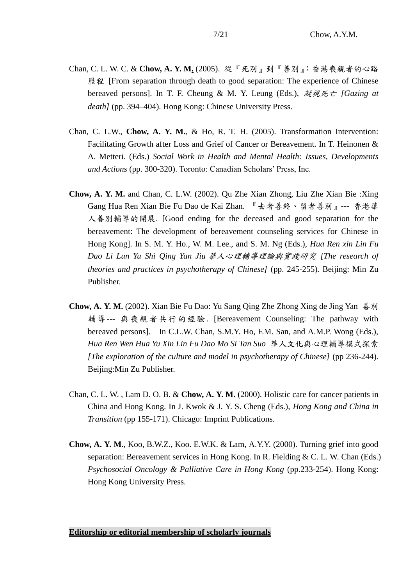- Chan, C. L. W. C. & **Chow, A. Y. M.** (2005). 從『死別』到『善別』:香港喪親者的心路 歷程 [From separation through death to good separation: The experience of Chinese bereaved persons]. In T. F. Cheung & M. Y. Leung (Eds.), 凝視死亡 *[Gazing at death]* (pp. 394–404). Hong Kong: Chinese University Press.
- Chan, C. L.W., **Chow, A. Y. M.**, & Ho, R. T. H. (2005). Transformation Intervention: Facilitating Growth after Loss and Grief of Cancer or Bereavement. In T. Heinonen & A. Metteri. (Eds.) *Social Work in Health and Mental Health: Issues, Developments and Actions* (pp. 300-320). Toronto: Canadian Scholars' Press, Inc.
- **Chow, A. Y. M.** and Chan, C. L.W. (2002). Qu Zhe Xian Zhong, Liu Zhe Xian Bie :Xing Gang Hua Ren Xian Bie Fu Dao de Kai Zhan. 『去者善終、留者善別』--- 香港華 人善別輔導的開展. [Good ending for the deceased and good separation for the bereavement: The development of bereavement counseling services for Chinese in Hong Kong]. In S. M. Y. Ho., W. M. Lee., and S. M. Ng (Eds.), *Hua Ren xin Lin Fu Dao Li Lun Yu Shi Qing Yan Jiu* 華人心理輔導理論與實踐研究 *[The research of theories and practices in psychotherapy of Chinese]* (pp. 245-255)*.* Beijing: Min Zu Publisher.
- **Chow, A. Y. M.** (2002). Xian Bie Fu Dao: Yu Sang Qing Zhe Zhong Xing de Jing Yan 善別 輔導--- 與喪親者共行的經驗. [Bereavement Counseling: The pathway with bereaved persons]. In C.L.W. Chan, S.M.Y. Ho, F.M. San, and A.M.P. Wong (Eds.), *Hua Ren Wen Hua Yu Xin Lin Fu Dao Mo Si Tan Suo* 華人文化與心理輔導模式探索 *[The exploration of the culture and model in psychotherapy of Chinese]* (pp 236-244)*.* Beijing:Min Zu Publisher.
- Chan, C. L. W. , Lam D. O. B. & **Chow, A. Y. M.** (2000). Holistic care for cancer patients in China and Hong Kong. In J. Kwok & J. Y. S. Cheng (Eds.), *Hong Kong and China in Transition* (pp 155-171). Chicago: Imprint Publications.
- **Chow, A. Y. M.**, Koo, B.W.Z., Koo. E.W.K. & Lam, A.Y.Y. (2000). Turning grief into good separation: Bereavement services in Hong Kong. In R. Fielding & C. L. W. Chan (Eds.) *Psychosocial Oncology & Palliative Care in Hong Kong* (pp.233-254). Hong Kong: Hong Kong University Press.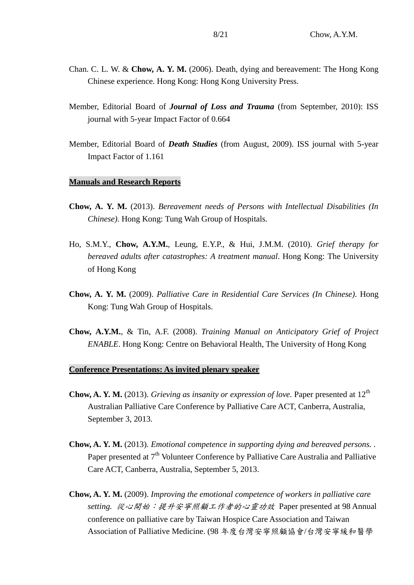- Chan. C. L. W. & **Chow, A. Y. M.** (2006). Death, dying and bereavement: The Hong Kong Chinese experience. Hong Kong: Hong Kong University Press.
- Member, Editorial Board of *Journal of Loss and Trauma* (from September, 2010): ISS journal with 5-year Impact Factor of 0.664
- Member, Editorial Board of *Death Studies* (from August, 2009). ISS journal with 5-year Impact Factor of 1.161

#### **Manuals and Research Reports**

- **Chow, A. Y. M.** (2013). *Bereavement needs of Persons with Intellectual Disabilities (In Chinese)*. Hong Kong: Tung Wah Group of Hospitals.
- Ho, S.M.Y., **Chow, A.Y.M.**, Leung, E.Y.P., & Hui, J.M.M. (2010). *Grief therapy for bereaved adults after catastrophes: A treatment manual*. Hong Kong: The University of Hong Kong
- **Chow, A. Y. M.** (2009). *Palliative Care in Residential Care Services (In Chinese)*. Hong Kong: Tung Wah Group of Hospitals.
- **Chow, A.Y.M.**, & Tin, A.F. (2008). *Training Manual on Anticipatory Grief of Project ENABLE*. Hong Kong: Centre on Behavioral Health, The University of Hong Kong

#### **Conference Presentations: As invited plenary speaker**

- **Chow, A. Y. M.** (2013). *Grieving as insanity or expression of love*. Paper presented at 12<sup>th</sup> Australian Palliative Care Conference by Palliative Care ACT, Canberra, Australia, September 3, 2013.
- **Chow, A. Y. M.** (2013). *Emotional competence in supporting dying and bereaved persons. .* Paper presented at  $7<sup>th</sup>$  Volunteer Conference by Palliative Care Australia and Palliative Care ACT, Canberra, Australia, September 5, 2013.
- **Chow, A. Y. M.** (2009). *Improving the emotional competence of workers in palliative care setting.* 從心開始:提升安寧照顧工作者的心靈功效 Paper presented at 98 Annual conference on palliative care by Taiwan Hospice Care Association and Taiwan Association of Palliative Medicine. (98 年度台灣安寧照顧協會/台灣安寧緩和醫學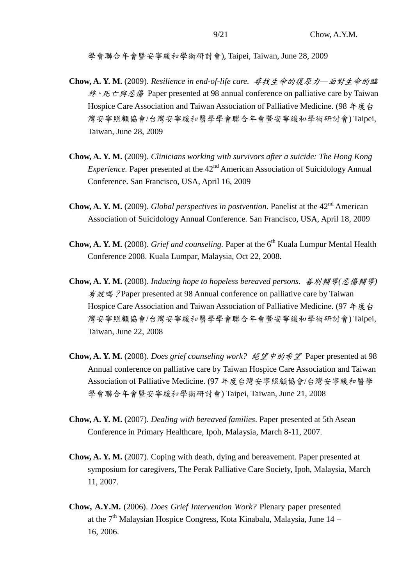學會聯合年會暨安寧緩和學術研討會), Taipei, Taiwan, June 28, 2009

- **Chow, A. Y. M.** (2009). *Resilience in end-of-life care.* 尋找生命的復原力*—*面對生命的臨 終、死亡與悲傷 Paper presented at 98 annual conference on palliative care by Taiwan Hospice Care Association and Taiwan Association of Palliative Medicine. (98 年度台) 灣安寧照顧協會/台灣安寧緩和醫學學會聯合年會暨安寧緩和學術研討會) Taipei, Taiwan, June 28, 2009
- **Chow, A. Y. M.** (2009). *Clinicians working with survivors after a suicide: The Hong Kong Experience.* Paper presented at the 42<sup>nd</sup> American Association of Suicidology Annual Conference. San Francisco, USA, April 16, 2009
- **Chow, A. Y. M.** (2009). *Global perspectives in postvention*. Panelist at the 42<sup>nd</sup> American Association of Suicidology Annual Conference. San Francisco, USA, April 18, 2009
- **Chow, A. Y. M.** (2008). *Grief and counseling*. Paper at the 6<sup>th</sup> Kuala Lumpur Mental Health Conference 2008. Kuala Lumpar, Malaysia, Oct 22, 2008.
- **Chow, A. Y. M.** (2008). *Inducing hope to hopeless bereaved persons.* 善別輔導*(*悲傷輔導*)* 有效嗎?Paper presented at 98 Annual conference on palliative care by Taiwan Hospice Care Association and Taiwan Association of Palliative Medicine. (97 年度台 灣安寧照顧協會/台灣安寧緩和醫學學會聯合年會暨安寧緩和學術研討會) Taipei, Taiwan, June 22, 2008
- **Chow, A. Y. M.** (2008). *Does grief counseling work?* 絕望中的希望 Paper presented at 98 Annual conference on palliative care by Taiwan Hospice Care Association and Taiwan Association of Palliative Medicine. (97 年度台灣安寧照顧協會/台灣安寧緩和醫學 學會聯合年會暨安寧緩和學術研討會) Taipei, Taiwan, June 21, 2008
- **Chow, A. Y. M.** (2007). *Dealing with bereaved families*. Paper presented at 5th Asean Conference in Primary Healthcare, Ipoh, Malaysia, March 8-11, 2007.
- **Chow, A. Y. M.** (2007). Coping with death, dying and bereavement. Paper presented at symposium for caregivers, The Perak Palliative Care Society, Ipoh, Malaysia, March 11, 2007.
- **Chow, A.Y.M.** (2006). *Does Grief Intervention Work?* Plenary paper presented at the  $7<sup>th</sup>$  Malaysian Hospice Congress, Kota Kinabalu, Malaysia, June 14 – 16, 2006.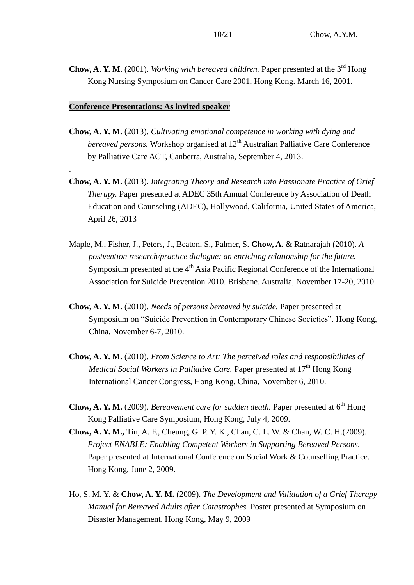**Chow, A. Y. M.** (2001). *Working with bereaved children.* Paper presented at the 3<sup>rd</sup> Hong Kong Nursing Symposium on Cancer Care 2001, Hong Kong. March 16, 2001.

## **Conference Presentations: As invited speaker**

.

- **Chow, A. Y. M.** (2013). *Cultivating emotional competence in working with dying and bereaved persons.* Workshop organised at 12<sup>th</sup> Australian Palliative Care Conference by Palliative Care ACT, Canberra, Australia, September 4, 2013.
- **Chow, A. Y. M.** (2013). *Integrating Theory and Research into Passionate Practice of Grief Therapy.* Paper presented at ADEC 35th Annual Conference by Association of Death Education and Counseling (ADEC), Hollywood, California, United States of America, April 26, 2013
- Maple, M., Fisher, J., Peters, J., Beaton, S., Palmer, S. **Chow, A.** & Ratnarajah (2010). *A postvention research/practice dialogue: an enriching relationship for the future.*  Symposium presented at the 4<sup>th</sup> Asia Pacific Regional Conference of the International Association for Suicide Prevention 2010. Brisbane, Australia, November 17-20, 2010.
- **Chow, A. Y. M.** (2010). *Needs of persons bereaved by suicide.* Paper presented at Symposium on "Suicide Prevention in Contemporary Chinese Societies". Hong Kong, China, November 6-7, 2010.
- **Chow, A. Y. M.** (2010). *From Science to Art: The perceived roles and responsibilities of Medical Social Workers in Palliative Care.* Paper presented at 17<sup>th</sup> Hong Kong International Cancer Congress, Hong Kong, China, November 6, 2010.
- Chow, A. Y. M. (2009). *Bereavement care for sudden death*. Paper presented at 6<sup>th</sup> Hong Kong Palliative Care Symposium, Hong Kong, July 4, 2009.
- **Chow, A. Y. M.,** Tin, A. F., Cheung, G. P. Y. K., Chan, C. L. W. & Chan, W. C. H.(2009). *Project ENABLE: Enabling Competent Workers in Supporting Bereaved Persons.*  Paper presented at International Conference on Social Work & Counselling Practice. Hong Kong, June 2, 2009.
- Ho, S. M. Y. & **Chow, A. Y. M.** (2009). *The Development and Validation of a Grief Therapy Manual for Bereaved Adults after Catastrophes.* Poster presented at Symposium on Disaster Management. Hong Kong, May 9, 2009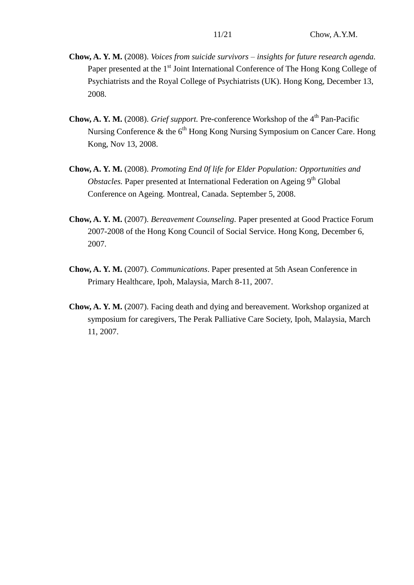- **Chow, A. Y. M.** (2008). *Voices from suicide survivors – insights for future research agenda.* Paper presented at the 1<sup>st</sup> Joint International Conference of The Hong Kong College of Psychiatrists and the Royal College of Psychiatrists (UK). Hong Kong, December 13, 2008.
- **Chow, A. Y. M.** (2008). *Grief support*. Pre-conference Workshop of the 4<sup>th</sup> Pan-Pacific Nursing Conference  $\&$  the  $6<sup>th</sup>$  Hong Kong Nursing Symposium on Cancer Care. Hong Kong, Nov 13, 2008.
- **Chow, A. Y. M.** (2008). *Promoting End 0f life for Elder Population: Opportunities and Obstacles.* Paper presented at International Federation on Ageing 9<sup>th</sup> Global Conference on Ageing. Montreal, Canada. September 5, 2008.
- **Chow, A. Y. M.** (2007). *Bereavement Counseling.* Paper presented at Good Practice Forum 2007-2008 of the Hong Kong Council of Social Service. Hong Kong, December 6, 2007.
- **Chow, A. Y. M.** (2007). *Communications*. Paper presented at 5th Asean Conference in Primary Healthcare, Ipoh, Malaysia, March 8-11, 2007.
- **Chow, A. Y. M.** (2007). Facing death and dying and bereavement. Workshop organized at symposium for caregivers, The Perak Palliative Care Society, Ipoh, Malaysia, March 11, 2007.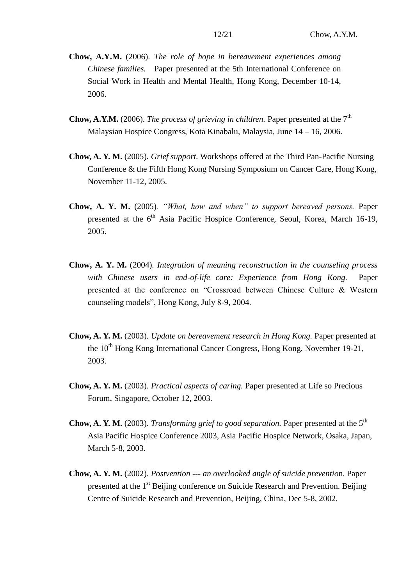- **Chow, A.Y.M.** (2006). *The role of hope in bereavement experiences among Chinese families.* Paper presented at the 5th International Conference on Social Work in Health and Mental Health, Hong Kong, December 10-14, 2006.
- **Chow, A.Y.M.** (2006). *The process of grieving in children*. Paper presented at the  $7<sup>th</sup>$ Malaysian Hospice Congress, Kota Kinabalu, Malaysia, June 14 – 16, 2006.
- **Chow, A. Y. M.** (2005)*. Grief support.* Workshops offered at the Third Pan-Pacific Nursing Conference & the Fifth Hong Kong Nursing Symposium on Cancer Care, Hong Kong, November 11-12, 2005.
- **Chow, A. Y. M.** (2005)*. "What, how and when" to support bereaved persons.* Paper presented at the 6<sup>th</sup> Asia Pacific Hospice Conference, Seoul, Korea, March 16-19, 2005.
- **Chow, A. Y. M.** (2004)*. Integration of meaning reconstruction in the counseling process with Chinese users in end-of-life care: Experience from Hong Kong.* Paper presented at the conference on "Crossroad between Chinese Culture & Western counseling models", Hong Kong, July 8-9, 2004.
- **Chow, A. Y. M.** (2003)*. Update on bereavement research in Hong Kong.* Paper presented at the 10<sup>th</sup> Hong Kong International Cancer Congress, Hong Kong. November 19-21, 2003.
- **Chow, A. Y. M.** (2003). *Practical aspects of caring.* Paper presented at Life so Precious Forum, Singapore, October 12, 2003.
- **Chow, A. Y. M.** (2003). *Transforming grief to good separation*. Paper presented at the 5<sup>th</sup> Asia Pacific Hospice Conference 2003, Asia Pacific Hospice Network, Osaka, Japan, March 5-8, 2003.
- **Chow, A. Y. M.** (2002). *Postvention --- an overlooked angle of suicide preventio*n. Paper presented at the 1st Beijing conference on Suicide Research and Prevention. Beijing Centre of Suicide Research and Prevention, Beijing, China, Dec 5-8, 2002.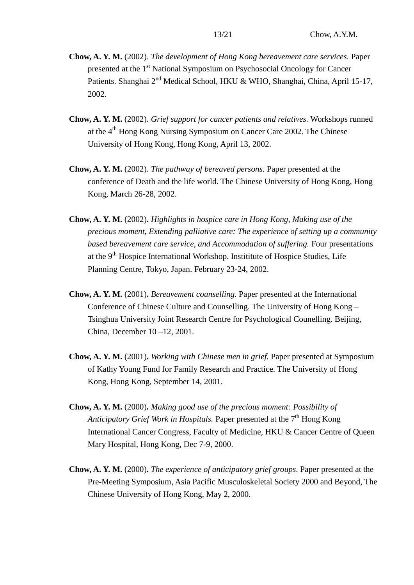- **Chow, A. Y. M.** (2002). *The development of Hong Kong bereavement care services.* Paper presented at the 1<sup>st</sup> National Symposium on Psychosocial Oncology for Cancer Patients. Shanghai 2<sup>nd</sup> Medical School, HKU & WHO, Shanghai, China, April 15-17, 2002.
- **Chow, A. Y. M.** (2002). *Grief support for cancer patients and relatives.* Workshops runned at the 4th Hong Kong Nursing Symposium on Cancer Care 2002. The Chinese University of Hong Kong, Hong Kong, April 13, 2002.
- **Chow, A. Y. M.** (2002). *The pathway of bereaved persons.* Paper presented at the conference of Death and the life world. The Chinese University of Hong Kong, Hong Kong, March 26-28, 2002.
- **Chow, A. Y. M.** (2002)**.** *Highlights in hospice care in Hong Kong, Making use of the precious moment, Extending palliative care: The experience of setting up a community based bereavement care service, and Accommodation of suffering.* Four presentations at the  $9<sup>th</sup>$  Hospice International Workshop. Institutional Hospice Studies, Life Planning Centre, Tokyo, Japan. February 23-24, 2002.
- **Chow, A. Y. M.** (2001)**.** *Bereavement counselling.* Paper presented at the International Conference of Chinese Culture and Counselling. The University of Hong Kong – Tsinghua University Joint Research Centre for Psychological Counelling. Beijing, China, December 10 –12, 2001.
- **Chow, A. Y. M.** (2001)**.** *Working with Chinese men in grief.* Paper presented at Symposium of Kathy Young Fund for Family Research and Practice. The University of Hong Kong, Hong Kong, September 14, 2001.
- **Chow, A. Y. M.** (2000)**.** *Making good use of the precious moment: Possibility of Anticipatory Grief Work in Hospitals.* Paper presented at the 7<sup>th</sup> Hong Kong International Cancer Congress, Faculty of Medicine, HKU & Cancer Centre of Queen Mary Hospital, Hong Kong, Dec 7-9, 2000.
- **Chow, A. Y. M.** (2000)**.** *The experience of anticipatory grief groups*. Paper presented at the Pre-Meeting Symposium, Asia Pacific Musculoskeletal Society 2000 and Beyond, The Chinese University of Hong Kong, May 2, 2000.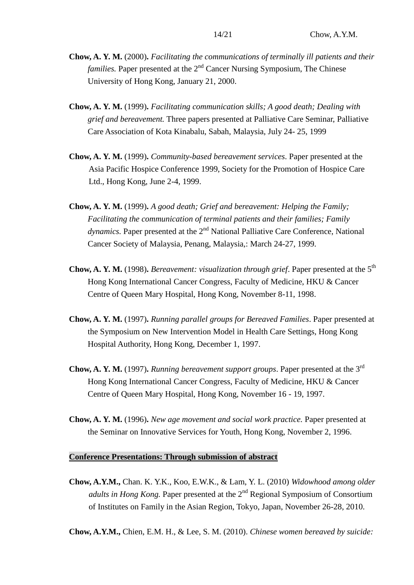- **Chow, A. Y. M.** (2000)**.** *Facilitating the communications of terminally ill patients and their families.* Paper presented at the 2<sup>nd</sup> Cancer Nursing Symposium, The Chinese University of Hong Kong, January 21, 2000.
- **Chow, A. Y. M.** (1999)**.** *Facilitating communication skills; A good death; Dealing with grief and bereavement.* Three papers presented at Palliative Care Seminar, Palliative Care Association of Kota Kinabalu, Sabah, Malaysia, July 24- 25, 1999
- **Chow, A. Y. M.** (1999)**.** *Community-based bereavement services*. Paper presented at the Asia Pacific Hospice Conference 1999, Society for the Promotion of Hospice Care Ltd., Hong Kong, June 2-4, 1999.
- **Chow, A. Y. M.** (1999)**.** *A good death; Grief and bereavement: Helping the Family; Facilitating the communication of terminal patients and their families; Family* dynamics. Paper presented at the 2<sup>nd</sup> National Palliative Care Conference, National Cancer Society of Malaysia, Penang, Malaysia,: March 24-27, 1999.
- **Chow, A. Y. M.** (1998). *Bereavement: visualization through grief.* Paper presented at the 5<sup>th</sup> Hong Kong International Cancer Congress, Faculty of Medicine, HKU & Cancer Centre of Queen Mary Hospital, Hong Kong, November 8-11, 1998.
- **Chow, A. Y. M.** (1997)**.** *Running parallel groups for Bereaved Families*. Paper presented at the Symposium on New Intervention Model in Health Care Settings, Hong Kong Hospital Authority, Hong Kong, December 1, 1997.
- **Chow, A. Y. M.** (1997)**.** *Running bereavement support groups*. Paper presented at the 3rd Hong Kong International Cancer Congress, Faculty of Medicine, HKU & Cancer Centre of Queen Mary Hospital, Hong Kong, November 16 - 19, 1997.
- **Chow, A. Y. M.** (1996)**.** *New age movement and social work practice.* Paper presented at the Seminar on Innovative Services for Youth, Hong Kong, November 2, 1996.

## **Conference Presentations: Through submission of abstract**

**Chow, A.Y.M.,** Chan. K. Y.K., Koo, E.W.K., & Lam, Y. L. (2010) *Widowhood among older adults in Hong Kong.* Paper presented at the 2<sup>nd</sup> Regional Symposium of Consortium of Institutes on Family in the Asian Region, Tokyo, Japan, November 26-28, 2010.

**Chow, A.Y.M.,** Chien, E.M. H., & Lee, S. M. (2010). *Chinese women bereaved by suicide:*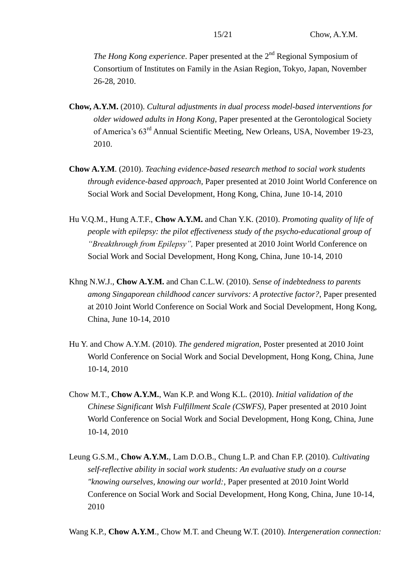*The Hong Kong experience*. Paper presented at the 2<sup>nd</sup> Regional Symposium of Consortium of Institutes on Family in the Asian Region, Tokyo, Japan, November 26-28, 2010.

- **Chow, A.Y.M.** (2010). *Cultural adjustments in dual process model-based interventions for older widowed adults in Hong Kong*, Paper presented at the Gerontological Society of America's 63rd Annual Scientific Meeting, New Orleans, USA, November 19-23, 2010.
- **Chow A.Y.M**. (2010). *Teaching evidence-based research method to social work students through evidence-based approach,* Paper presented at 2010 Joint World Conference on Social Work and Social Development, Hong Kong, China, June 10-14, 2010
- Hu V.Q.M., Hung A.T.F., **Chow A.Y.M.** and Chan Y.K. (2010). *Promoting quality of life of people with epilepsy: the pilot effectiveness study of the psycho-educational group of "Breakthrough from Epilepsy",* Paper presented at 2010 Joint World Conference on Social Work and Social Development, Hong Kong, China, June 10-14, 2010
- Khng N.W.J., **Chow A.Y.M.** and Chan C.L.W. (2010). *Sense of indebtedness to parents among Singaporean childhood cancer survivors: A protective factor?*, Paper presented at 2010 Joint World Conference on Social Work and Social Development, Hong Kong, China, June 10-14, 2010
- Hu Y. and Chow A.Y.M. (2010). *The gendered migration*, Poster presented at 2010 Joint World Conference on Social Work and Social Development, Hong Kong, China, June 10-14, 2010
- Chow M.T., **Chow A.Y.M.**, Wan K.P. and Wong K.L. (2010). *Initial validation of the Chinese Significant Wish Fulfillment Scale (CSWFS)*, Paper presented at 2010 Joint World Conference on Social Work and Social Development, Hong Kong, China, June 10-14, 2010
- Leung G.S.M., **Chow A.Y.M.**, Lam D.O.B., Chung L.P. and Chan F.P. (2010). *Cultivating self-reflective ability in social work students: An evaluative study on a course "knowing ourselves, knowing our world:*, Paper presented at 2010 Joint World Conference on Social Work and Social Development, Hong Kong, China, June 10-14, 2010

Wang K.P., **Chow A.Y.M**., Chow M.T. and Cheung W.T. (2010). *Intergeneration connection:*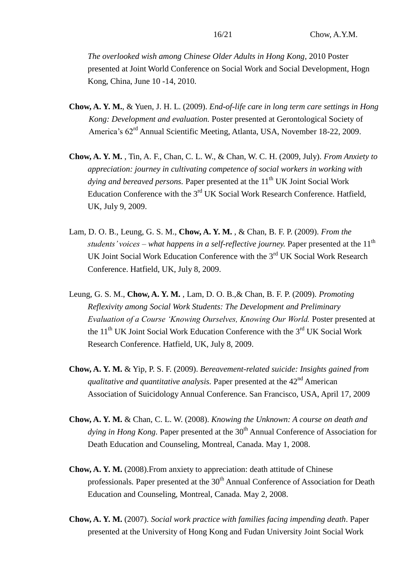*The overlooked wish among Chinese Older Adults in Hong Kong*, 2010 Poster presented at Joint World Conference on Social Work and Social Development, Hogn Kong, China, June 10 -14, 2010.

- **Chow, A. Y. M.**, & Yuen, J. H. L. (2009). *End-of-life care in long term care settings in Hong Kong: Development and evaluation.* Poster presented at Gerontological Society of America's 62rd Annual Scientific Meeting, Atlanta, USA, November 18-22, 2009.
- **Chow, A. Y. M.** , Tin, A. F., Chan, C. L. W., & Chan, W. C. H. (2009, July). *From Anxiety to appreciation: journey in cultivating competence of social workers in working with dying and bereaved persons.* Paper presented at the 11<sup>th</sup> UK Joint Social Work Education Conference with the  $3<sup>rd</sup> UK$  Social Work Research Conference. Hatfield, UK, July 9, 2009.
- Lam, D. O. B., Leung, G. S. M., **Chow, A. Y. M.** , & Chan, B. F. P. (2009). *From the students' voices – what happens in a self-reflective journey.* Paper presented at the 11<sup>th</sup> UK Joint Social Work Education Conference with the 3<sup>rd</sup> UK Social Work Research Conference. Hatfield, UK, July 8, 2009.
- Leung, G. S. M., **Chow, A. Y. M.** , Lam, D. O. B.,& Chan, B. F. P. (2009). *Promoting Reflexivity among Social Work Students: The Development and Preliminary Evaluation of a Course 'Knowing Ourselves, Knowing Our World.* Poster presented at the  $11<sup>th</sup> UK$  Joint Social Work Education Conference with the  $3<sup>rd</sup> UK$  Social Work Research Conference. Hatfield, UK, July 8, 2009.
- **Chow, A. Y. M.** & Yip, P. S. F. (2009). *Bereavement-related suicide: Insights gained from qualitative and quantitative analysis.* Paper presented at the 42<sup>nd</sup> American Association of Suicidology Annual Conference. San Francisco, USA, April 17, 2009
- **Chow, A. Y. M.** & Chan, C. L. W. (2008). *Knowing the Unknown: A course on death and dying in Hong Kong.* Paper presented at the 30<sup>th</sup> Annual Conference of Association for Death Education and Counseling, Montreal, Canada. May 1, 2008.
- **Chow, A. Y. M.** (2008).From anxiety to appreciation: death attitude of Chinese professionals. Paper presented at the 30<sup>th</sup> Annual Conference of Association for Death Education and Counseling, Montreal, Canada. May 2, 2008.
- **Chow, A. Y. M.** (2007). *Social work practice with families facing impending death*. Paper presented at the University of Hong Kong and Fudan University Joint Social Work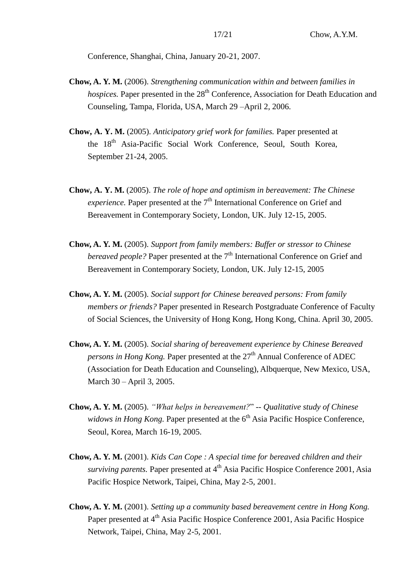Conference, Shanghai, China, January 20-21, 2007.

- **Chow, A. Y. M.** (2006). *Strengthening communication within and between families in hospices*. Paper presented in the 28<sup>th</sup> Conference, Association for Death Education and Counseling, Tampa, Florida, USA, March 29 –April 2, 2006.
- **Chow, A. Y. M.** (2005). *Anticipatory grief work for families.* Paper presented at the 18th Asia-Pacific Social Work Conference, Seoul, South Korea, September 21-24, 2005.
- **Chow, A. Y. M.** (2005). *The role of hope and optimism in bereavement: The Chinese experience.* Paper presented at the 7<sup>th</sup> International Conference on Grief and Bereavement in Contemporary Society, London, UK. July 12-15, 2005.
- **Chow, A. Y. M.** (2005). *Support from family members: Buffer or stressor to Chinese bereaved people?* Paper presented at the 7<sup>th</sup> International Conference on Grief and Bereavement in Contemporary Society, London, UK. July 12-15, 2005
- **Chow, A. Y. M.** (2005). *Social support for Chinese bereaved persons: From family members or friends?* Paper presented in Research Postgraduate Conference of Faculty of Social Sciences, the University of Hong Kong, Hong Kong, China. April 30, 2005.
- **Chow, A. Y. M.** (2005). *Social sharing of bereavement experience by Chinese Bereaved persons in Hong Kong.* Paper presented at the 27<sup>th</sup> Annual Conference of ADEC (Association for Death Education and Counseling), Albquerque, New Mexico, USA, March 30 – April 3, 2005.
- **Chow, A. Y. M.** (2005). *"What helps in bereavement?*" *-- Qualitative study of Chinese widows in Hong Kong.* Paper presented at the 6<sup>th</sup> Asia Pacific Hospice Conference, Seoul, Korea, March 16-19, 2005.
- **Chow, A. Y. M.** (2001). *Kids Can Cope : A special time for bereaved children and their surviving parents.* Paper presented at 4<sup>th</sup> Asia Pacific Hospice Conference 2001, Asia Pacific Hospice Network, Taipei, China, May 2-5, 2001.
- **Chow, A. Y. M.** (2001). *Setting up a community based bereavement centre in Hong Kong.*  Paper presented at 4<sup>th</sup> Asia Pacific Hospice Conference 2001, Asia Pacific Hospice Network, Taipei, China, May 2-5, 2001.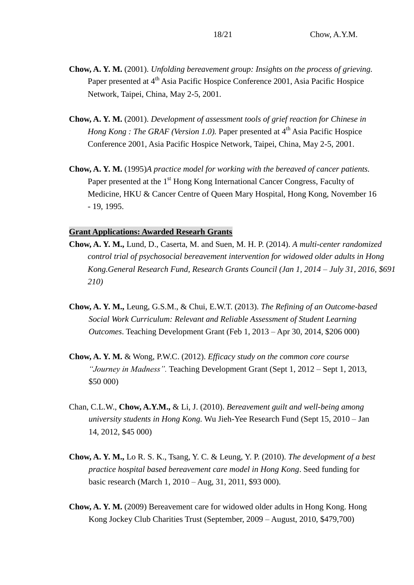- **Chow, A. Y. M.** (2001). *Unfolding bereavement group: Insights on the process of grieving.*  Paper presented at 4<sup>th</sup> Asia Pacific Hospice Conference 2001, Asia Pacific Hospice Network, Taipei, China, May 2-5, 2001.
- **Chow, A. Y. M.** (2001). *Development of assessment tools of grief reaction for Chinese in Hong Kong : The GRAF (Version 1.0).* Paper presented at 4<sup>th</sup> Asia Pacific Hospice Conference 2001, Asia Pacific Hospice Network, Taipei, China, May 2-5, 2001.
- **Chow, A. Y. M.** (1995)*A practice model for working with the bereaved of cancer patients.*  Paper presented at the 1<sup>st</sup> Hong Kong International Cancer Congress, Faculty of Medicine, HKU & Cancer Centre of Queen Mary Hospital, Hong Kong, November 16 - 19, 1995.

## **Grant Applications: Awarded Researh Grants**

- **Chow, A. Y. M.,** Lund, D., Caserta, M. and Suen, M. H. P. (2014). *A multi-center randomized control trial of psychosocial bereavement intervention for widowed older adults in Hong Kong.General Research Fund, Research Grants Council (Jan 1, 2014 – July 31, 2016, \$691 210)*
- **Chow, A. Y. M.,** Leung, G.S.M., & Chui, E.W.T. (2013). *The Refining of an Outcome-based Social Work Curriculum: Relevant and Reliable Assessment of Student Learning Outcomes*. Teaching Development Grant (Feb 1, 2013 – Apr 30, 2014, \$206 000)
- **Chow, A. Y. M.** & Wong, P.W.C. (2012). *Efficacy study on the common core course "Journey in Madness".* Teaching Development Grant (Sept 1, 2012 – Sept 1, 2013, \$50 000)
- Chan, C.L.W., **Chow, A.Y.M.,** & Li, J. (2010). *Bereavement guilt and well-being among university students in Hong Kong.* Wu Jieh-Yee Research Fund (Sept 15, 2010 – Jan 14, 2012, \$45 000)
- **Chow, A. Y. M.,** Lo R. S. K., Tsang, Y. C. & Leung, Y. P. (2010). *The development of a best practice hospital based bereavement care model in Hong Kong*. Seed funding for basic research (March 1, 2010 – Aug, 31, 2011, \$93 000).
- **Chow, A. Y. M.** (2009) Bereavement care for widowed older adults in Hong Kong. Hong Kong Jockey Club Charities Trust (September, 2009 – August, 2010, \$479,700)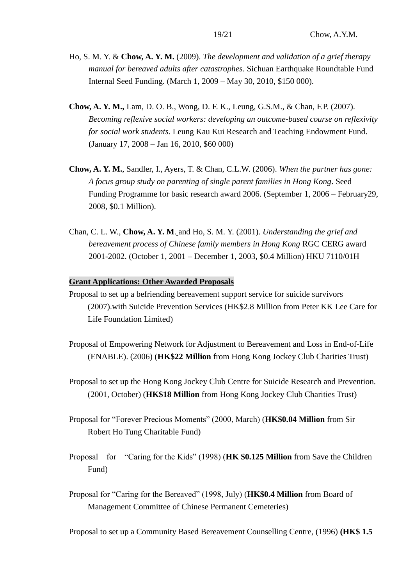- Ho, S. M. Y. & **Chow, A. Y. M.** (2009). *The development and validation of a grief therapy manual for bereaved adults after catastrophes*. Sichuan Earthquake Roundtable Fund Internal Seed Funding. (March 1, 2009 – May 30, 2010, \$150 000).
- **Chow, A. Y. M.,** Lam, D. O. B., Wong, D. F. K., Leung, G.S.M., & Chan, F.P. (2007). *Becoming reflexive social workers: developing an outcome-based course on reflexivity for social work students.* Leung Kau Kui Research and Teaching Endowment Fund. (January 17, 2008 – Jan 16, 2010, \$60 000)
- **Chow, A. Y. M.**, Sandler, I., Ayers, T. & Chan, C.L.W. (2006). *When the partner has gone: A focus group study on parenting of single parent families in Hong Kong*. Seed Funding Programme for basic research award 2006. (September 1, 2006 – February29, 2008, \$0.1 Million).
- Chan, C. L. W., **Chow, A. Y. M**. and Ho, S. M. Y. (2001). *Understanding the grief and bereavement process of Chinese family members in Hong Kong* RGC CERG award 2001-2002. (October 1, 2001 – December 1, 2003, \$0.4 Million) HKU 7110/01H

### **Grant Applications: Other Awarded Proposals**

- Proposal to set up a befriending bereavement support service for suicide survivors (2007).with Suicide Prevention Services (HK\$2.8 Million from Peter KK Lee Care for Life Foundation Limited)
- Proposal of Empowering Network for Adjustment to Bereavement and Loss in End-of-Life (ENABLE). (2006) (**HK\$22 Million** from Hong Kong Jockey Club Charities Trust)
- Proposal to set up the Hong Kong Jockey Club Centre for Suicide Research and Prevention. (2001, October) (**HK\$18 Million** from Hong Kong Jockey Club Charities Trust)
- Proposal for "Forever Precious Moments" (2000, March) (**HK\$0.04 Million** from Sir Robert Ho Tung Charitable Fund)
- Proposal for "Caring for the Kids" (1998) (**HK \$0.125 Million** from Save the Children Fund)
- Proposal for "Caring for the Bereaved" (1998, July) (**HK\$0.4 Million** from Board of Management Committee of Chinese Permanent Cemeteries)

Proposal to set up a Community Based Bereavement Counselling Centre, (1996) **(HK\$ 1.5**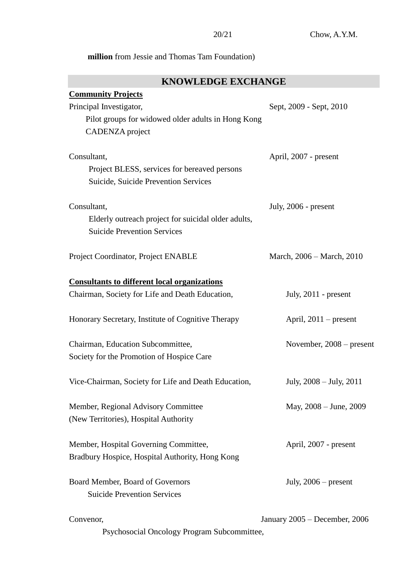# **million** from Jessie and Thomas Tam Foundation)

# **KNOWLEDGE EXCHANGE**

| <b>Community Projects</b>                            |                               |
|------------------------------------------------------|-------------------------------|
| Principal Investigator,                              | Sept, 2009 - Sept, 2010       |
| Pilot groups for widowed older adults in Hong Kong   |                               |
| CADENZA project                                      |                               |
| Consultant,                                          | April, 2007 - present         |
| Project BLESS, services for bereaved persons         |                               |
| Suicide, Suicide Prevention Services                 |                               |
| Consultant,                                          | July, 2006 - present          |
| Elderly outreach project for suicidal older adults,  |                               |
| <b>Suicide Prevention Services</b>                   |                               |
| Project Coordinator, Project ENABLE                  | March, 2006 – March, 2010     |
| <b>Consultants to different local organizations</b>  |                               |
| Chairman, Society for Life and Death Education,      | July, $2011$ - present        |
| Honorary Secretary, Institute of Cognitive Therapy   | April, $2011$ – present       |
| Chairman, Education Subcommittee,                    | November, $2008$ – present    |
| Society for the Promotion of Hospice Care            |                               |
| Vice-Chairman, Society for Life and Death Education, | July, 2008 – July, 2011       |
| Member, Regional Advisory Committee                  | May, 2008 – June, 2009        |
| (New Territories), Hospital Authority                |                               |
| Member, Hospital Governing Committee,                | April, 2007 - present         |
| Bradbury Hospice, Hospital Authority, Hong Kong      |                               |
| Board Member, Board of Governors                     | July, $2006$ – present        |
| <b>Suicide Prevention Services</b>                   |                               |
| Convenor,                                            | January 2005 - December, 2006 |

Psychosocial Oncology Program Subcommittee,